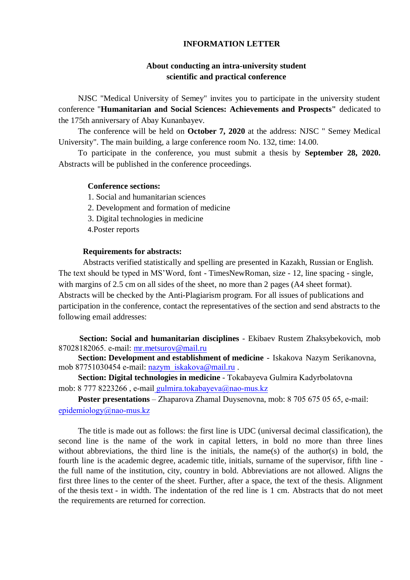## **INFORMATION LETTER**

# **About conducting an intra-university student scientific and practical conference**

NJSC "Medical University of Semey" invites you to participate in the university student conference "**Humanitarian and Social Sciences: Achievements and Prospects"** dedicated to the 175th anniversary of Abay Kunanbayev.

The conference will be held on **October 7, 2020** at the address: NJSC " Semey Medical University". The main building, a large conference room No. 132, time: 14.00.

To participate in the conference, you must submit a thesis by **September 28, 2020.** Abstracts will be published in the conference proceedings.

## **Conference sections:**

1. Social and humanitarian sciences

2. Development and formation of medicine

3. Digital technologies in medicine

4.Poster reports

#### **Requirements for abstracts:**

Abstracts verified statistically and spelling are presented in Kazakh, Russian or English. The text should be typed in MS'Word, font - TimesNewRoman, size - 12, line spacing - single, with margins of 2.5 cm on all sides of the sheet, no more than 2 pages (A4 sheet format). Abstracts will be checked by the Anti-Plagiarism program. For all issues of publications and participation in the conference, contact the representatives of the section and send abstracts to the following email addresses:

**Section: Social and humanitarian disciplines** - Ekibaev Rustem Zhaksybekovich, mob 87028182065. e-mail: mr.metsurov@mail.ru

**Section: Development and establishment of medicine** - Iskakova Nazym Serikanovna, mob 87751030454 e-mail: nazym iskakova@mail.ru .

**Section: Digital technologies in medicine** - Tokabayeva Gulmira Kadyrbolatovna mob: 8 777 8223266, e-mail gulmira.tokabayeva@nao-mus.kz

**Poster presentations** – Zhaparova Zhamal Duysenovna, mob: 8 705 675 05 65, е-mail: epidemiology@nao-mus.kz

The title is made out as follows: the first line is UDC (universal decimal classification), the second line is the name of the work in capital letters, in bold no more than three lines without abbreviations, the third line is the initials, the name(s) of the author(s) in bold, the fourth line is the academic degree, academic title, initials, surname of the supervisor, fifth line the full name of the institution, city, country in bold. Abbreviations are not allowed. Aligns the first three lines to the center of the sheet. Further, after a space, the text of the thesis. Alignment of the thesis text - in width. The indentation of the red line is 1 cm. Abstracts that do not meet the requirements are returned for correction.